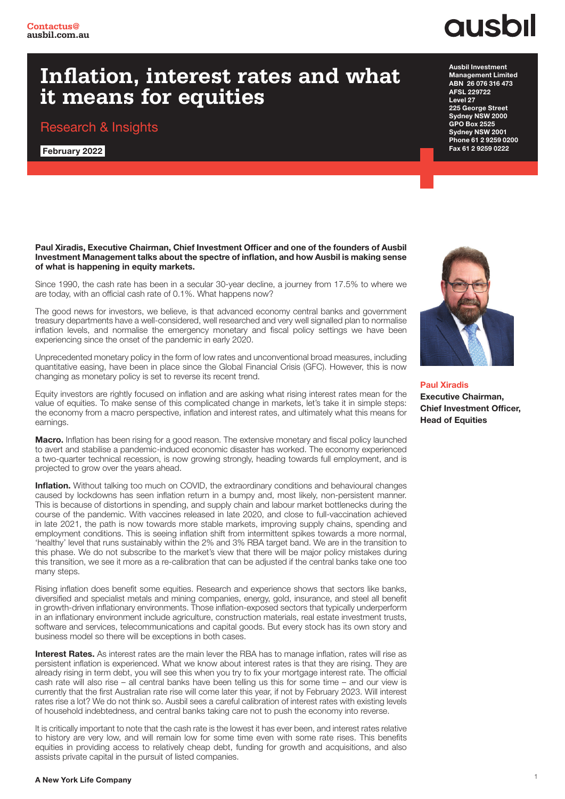## **ausbil**

Ausbil Investment Management Limited ABN 26 076 316 473 AFSL 229722 Level 27 225 George Street Sydney NSW 2000 GPO Box 2525 Sydney NSW 2001 Phone 61 2 9259 0200 Fax 61 2 9259 0222

## **Inflation, interest rates and what it means for equities**

Research & Insights

February 2022

Paul Xiradis, Executive Chairman, Chief Investment Officer and one of the founders of Ausbil Investment Management talks about the spectre of inflation, and how Ausbil is making sense of what is happening in equity markets.

Since 1990, the cash rate has been in a secular 30-year decline, a journey from 17.5% to where we are today, with an official cash rate of 0.1%. What happens now?

The good news for investors, we believe, is that advanced economy central banks and government treasury departments have a well-considered, well researched and very well signalled plan to normalise inflation levels, and normalise the emergency monetary and fiscal policy settings we have been experiencing since the onset of the pandemic in early 2020.

Unprecedented monetary policy in the form of low rates and unconventional broad measures, including quantitative easing, have been in place since the Global Financial Crisis (GFC). However, this is now changing as monetary policy is set to reverse its recent trend.

Equity investors are rightly focused on inflation and are asking what rising interest rates mean for the value of equities. To make sense of this complicated change in markets, let's take it in simple steps: the economy from a macro perspective, inflation and interest rates, and ultimately what this means for earnings.

Macro. Inflation has been rising for a good reason. The extensive monetary and fiscal policy launched to avert and stabilise a pandemic-induced economic disaster has worked. The economy experienced a two-quarter technical recession, is now growing strongly, heading towards full employment, and is projected to grow over the years ahead.

Inflation. Without talking too much on COVID, the extraordinary conditions and behavioural changes caused by lockdowns has seen inflation return in a bumpy and, most likely, non-persistent manner. This is because of distortions in spending, and supply chain and labour market bottlenecks during the course of the pandemic. With vaccines released in late 2020, and close to full-vaccination achieved in late 2021, the path is now towards more stable markets, improving supply chains, spending and employment conditions. This is seeing inflation shift from intermittent spikes towards a more normal, 'healthy' level that runs sustainably within the 2% and 3% RBA target band. We are in the transition to this phase. We do not subscribe to the market's view that there will be major policy mistakes during this transition, we see it more as a re-calibration that can be adjusted if the central banks take one too many steps.

Rising inflation does benefit some equities. Research and experience shows that sectors like banks, diversified and specialist metals and mining companies, energy, gold, insurance, and steel all benefit in growth-driven inflationary environments. Those inflation-exposed sectors that typically underperform in an inflationary environment include agriculture, construction materials, real estate investment trusts, software and services, telecommunications and capital goods. But every stock has its own story and business model so there will be exceptions in both cases.

Interest Rates. As interest rates are the main lever the RBA has to manage inflation, rates will rise as persistent inflation is experienced. What we know about interest rates is that they are rising. They are already rising in term debt, you will see this when you try to fix your mortgage interest rate. The official cash rate will also rise – all central banks have been telling us this for some time – and our view is currently that the first Australian rate rise will come later this year, if not by February 2023. Will interest rates rise a lot? We do not think so. Ausbil sees a careful calibration of interest rates with existing levels of household indebtedness, and central banks taking care not to push the economy into reverse.

It is critically important to note that the cash rate is the lowest it has ever been, and interest rates relative to history are very low, and will remain low for some time even with some rate rises. This benefits equities in providing access to relatively cheap debt, funding for growth and acquisitions, and also assists private capital in the pursuit of listed companies.



Paul Xiradis Executive Chairman, Chief Investment Officer, Head of Equities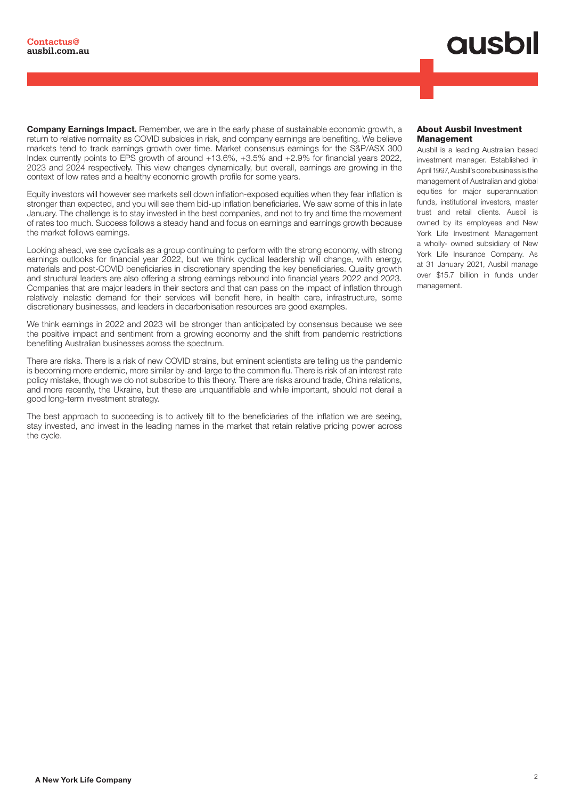# **ausbil**

**Company Earnings Impact.** Remember, we are in the early phase of sustainable economic growth, a return to relative normality as COVID subsides in risk, and company earnings are benefiting. We believe markets tend to track earnings growth over time. Market consensus earnings for the S&P/ASX 300 Index currently points to EPS growth of around +13.6%, +3.5% and +2.9% for financial years 2022, 2023 and 2024 respectively. This view changes dynamically, but overall, earnings are growing in the context of low rates and a healthy economic growth profile for some years.

Equity investors will however see markets sell down inflation-exposed equities when they fear inflation is stronger than expected, and you will see them bid-up inflation beneficiaries. We saw some of this in late January. The challenge is to stay invested in the best companies, and not to try and time the movement of rates too much. Success follows a steady hand and focus on earnings and earnings growth because the market follows earnings.

Looking ahead, we see cyclicals as a group continuing to perform with the strong economy, with strong earnings outlooks for financial year 2022, but we think cyclical leadership will change, with energy, materials and post-COVID beneficiaries in discretionary spending the key beneficiaries. Quality growth and structural leaders are also offering a strong earnings rebound into financial years 2022 and 2023. Companies that are major leaders in their sectors and that can pass on the impact of inflation through relatively inelastic demand for their services will benefit here, in health care, infrastructure, some discretionary businesses, and leaders in decarbonisation resources are good examples.

We think earnings in 2022 and 2023 will be stronger than anticipated by consensus because we see the positive impact and sentiment from a growing economy and the shift from pandemic restrictions benefiting Australian businesses across the spectrum.

There are risks. There is a risk of new COVID strains, but eminent scientists are telling us the pandemic is becoming more endemic, more similar by-and-large to the common flu. There is risk of an interest rate policy mistake, though we do not subscribe to this theory. There are risks around trade, China relations, and more recently, the Ukraine, but these are unquantifiable and while important, should not derail a good long-term investment strategy.

The best approach to succeeding is to actively tilt to the beneficiaries of the inflation we are seeing, stay invested, and invest in the leading names in the market that retain relative pricing power across the cycle.

### About Ausbil Investment **Management**

Ausbil is a leading Australian based investment manager. Established in April 1997, Ausbil's core business is the management of Australian and global equities for major superannuation funds, institutional investors, master trust and retail clients. Ausbil is owned by its employees and New York Life Investment Management a wholly- owned subsidiary of New York Life Insurance Company. As at 31 January 2021, Ausbil manage over \$15.7 billion in funds under management.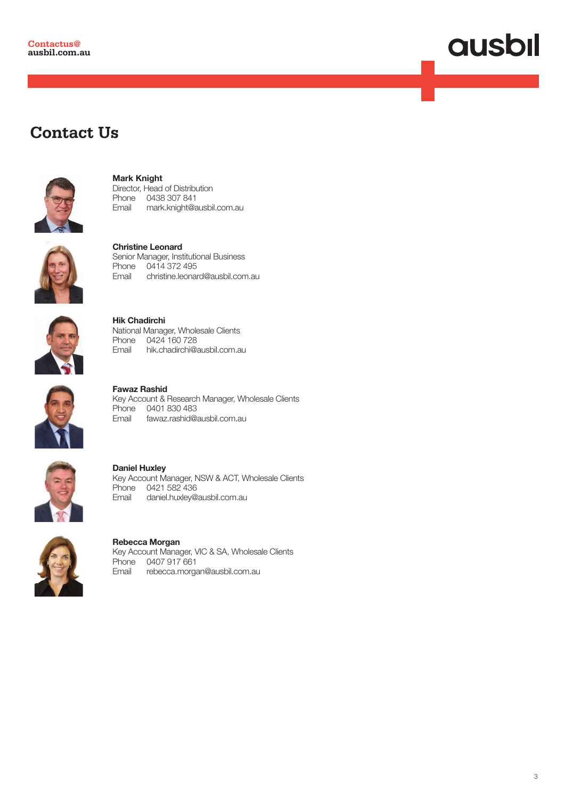

### **Contact Us**



Mark Knight Director, Head of Distribution Phone 0438 307 841 Email mark.knight@ausbil.com.au



Christine Leonard Senior Manager, Institutional Business Phone 0414 372 495 Email christine.leonard@ausbil.com.au



Hik Chadirchi National Manager, Wholesale Clients Phone 0424 160 728<br>Fmail bik chadirchi@ hik.chadirchi@ausbil.com.au



Fawaz Rashid Key Account & Research Manager, Wholesale Clients Phone 0401 830 483 Email fawaz.rashid@ausbil.com.au

Key Account Manager, NSW & ACT, Wholesale Clients



### Email daniel.huxley@ausbil.com.au

Phone 0421 582 436

Daniel Huxley

Rebecca Morgan Key Account Manager, VIC & SA, Wholesale Clients Phone 0407 917 661<br>Email rebecca.morga rebecca.morgan@ausbil.com.au

3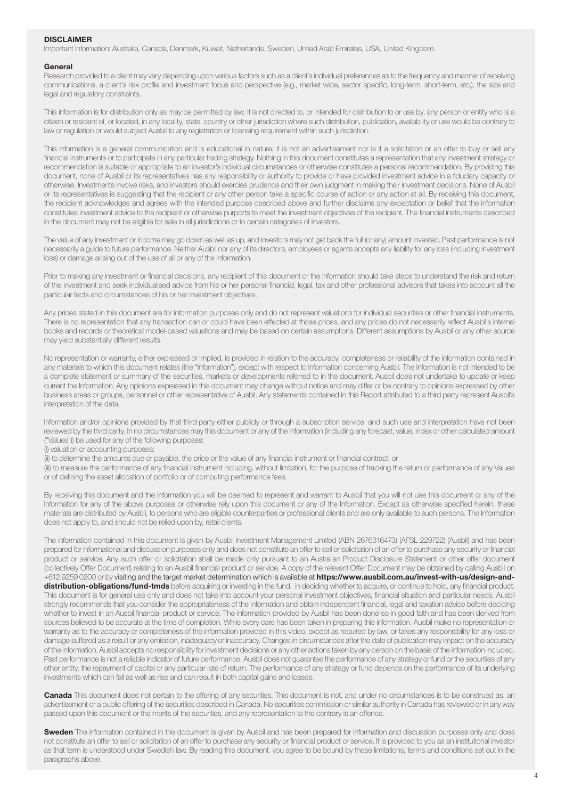#### **DISCLAIMER**

Important Information: Australia, Canada, Denmark, Kuwait, Netherlands, Sweden, United Arab Emirates, USA, United Kingdom.

#### General

Research provided to a client may vary depending upon various factors such as a client's individual preferences as to the frequency and manner of receiving communications, a client's risk profile and investment focus and perspective (e.g., market wide, sector specific, long-term, short-term, etc.), the size and legal and regulatory constraints.

This information is for distribution only as may be permitted by law. It is not directed to, or intended for distribution to or use by, any person or entity who is a citizen or resident of, or located, in any locality, state, country or other jurisdiction where such distribution, publication, availability or use would be contrary to law or regulation or would subject Ausbil to any registration or licensing requirement within such jurisdiction.

This information is a general communication and is educational in nature; it is not an advertisement nor is it a solicitation or an offer to buy or sell any financial instruments or to participate in any particular trading strategy. Nothing in this document constitutes a representation that any investment strategy or recommendation is suitable or appropriate to an investor's individual circumstances or otherwise constitutes a personal recommendation. By providing this document, none of Ausbil or its representatives has any responsibility or authority to provide or have provided investment advice in a fiduciary capacity or otherwise. Investments involve risks, and investors should exercise prudence and their own judgment in making their investment decisions. None of Ausbil or its representatives is suggesting that the recipient or any other person take a specific course of action or any action at all. By receiving this document, the recipient acknowledges and agrees with the intended purpose described above and further disclaims any expectation or belief that the information constitutes investment advice to the recipient or otherwise purports to meet the investment objectives of the recipient. The financial instruments described in the document may not be eligible for sale in all jurisdictions or to certain categories of investors.

The value of any investment or income may go down as well as up, and investors may not get back the full (or any) amount invested. Past performance is not necessarily a guide to future performance. Neither Ausbil nor any of its directors, employees or agents accepts any liability for any loss (including investment loss) or damage arising out of the use of all or any of the Information.

Prior to making any investment or financial decisions, any recipient of this document or the information should take steps to understand the risk and return of the investment and seek individualised advice from his or her personal financial, legal, tax and other professional advisors that takes into account all the particular facts and circumstances of his or her investment objectives.

Any prices stated in this document are for information purposes only and do not represent valuations for individual securities or other financial instruments. There is no representation that any transaction can or could have been effected at those prices, and any prices do not necessarily reflect Ausbil's internal books and records or theoretical model-based valuations and may be based on certain assumptions. Different assumptions by Ausbil or any other source may yield substantially different results.

No representation or warranty, either expressed or implied, is provided in relation to the accuracy, completeness or reliability of the information contained in any materials to which this document relates (the "Information"), except with respect to Information concerning Ausbil. The Information is not intended to be a complete statement or summary of the securities, markets or developments referred to in the document. Ausbil does not undertake to update or keep current the Information. Any opinions expressed in this document may change without notice and may differ or be contrary to opinions expressed by other business areas or groups, personnel or other representative of Ausbil. Any statements contained in this Report attributed to a third party represent Ausbil's interpretation of the data,

Information and/or opinions provided by that third party either publicly or through a subscription service, and such use and interpretation have not been reviewed by the third party. In no circumstances may this document or any of the Information (including any forecast, value, index or other calculated amount ("Values")) be used for any of the following purposes:

(i) valuation or accounting purposes;

(ii) to determine the amounts due or payable, the price or the value of any financial instrument or financial contract; or

(iii) to measure the performance of any financial instrument including, without limitation, for the purpose of tracking the return or performance of any Values or of defining the asset allocation of portfolio or of computing performance fees.

By receiving this document and the Information you will be deemed to represent and warrant to Ausbil that you will not use this document or any of the Information for any of the above purposes or otherwise rely upon this document or any of the Information. Except as otherwise specified herein, these materials are distributed by Ausbil, to persons who are eligible counterparties or professional clients and are only available to such persons. The Information does not apply to, and should not be relied upon by, retail clients.

The information contained in this document is given by Ausbil Investment Management Limited (ABN 2676316473) (AFSL 229722) (Ausbil) and has been prepared for informational and discussion purposes only and does not constitute an offer to sell or solicitation of an offer to purchase any security or financial product or service. Any such offer or solicitation shall be made only pursuant to an Australian Product Disclosure Statement or other offer document (collectively Offer Document) relating to an Ausbil financial product or service. A copy of the relevant Offer Document may be obtained by calling Ausbil on +612 9259 0200 or by visiting and the target market determination which is available at https://www.ausbil.com.au/invest-with-us/design-anddistribution-obligations/fund-tmds before acquiring or investing in the fund. in deciding whether to acquire, or continue to hold, any financial product. This document is for general use only and does not take into account your personal investment objectives, financial situation and particular needs. Ausbil strongly recommends that you consider the appropriateness of the information and obtain independent financial, legal and taxation advice before deciding whether to invest in an Ausbil financial product or service. The information provided by Ausbil has been done so in good faith and has been derived from sources believed to be accurate at the time of completion. While every care has been taken in preparing this information. Ausbil make no representation or warranty as to the accuracy or completeness of the information provided in this video, except as required by law, or takes any responsibility for any loss or damage suffered as a result or any omission, inadequacy or inaccuracy. Changes in circumstances after the date of publication may impact on the accuracy of the information. Ausbil accepts no responsibility for investment decisions or any other actions taken by any person on the basis of the information included. Past performance is not a reliable indicator of future performance. Ausbil does not guarantee the performance of any strategy or fund or the securities of any other entity, the repayment of capital or any particular rate of return. The performance of any strategy or fund depends on the performance of its underlying investments which can fall as well as rise and can result in both capital gains and losses.

Canada This document does not pertain to the offering of any securities. This document is not, and under no circumstances is to be construed as, an advertisement or a public offering of the securities described in Canada. No securities commission or similar authority in Canada has reviewed or in any way passed upon this document or the merits of the securities, and any representation to the contrary is an offence.

Sweden The information contained in the document is given by Ausbil and has been prepared for information and discussion purposes only and does not constitute an offer to sell or solicitation of an offer to purchase any security or financial product or service. It is provided to you as an institutional investor as that term is understood under Swedish law. By reading this document, you agree to be bound by these limitations, terms and conditions set out in the paragraphs above.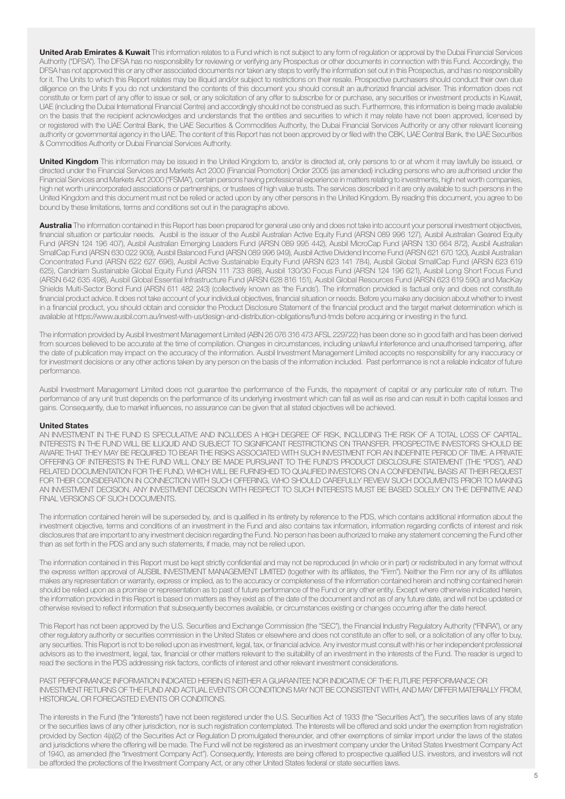United Arab Emirates & Kuwait This information relates to a Fund which is not subject to any form of regulation or approval by the Dubai Financial Services Authority ("DFSA"). The DFSA has no responsibility for reviewing or verifying any Prospectus or other documents in connection with this Fund. Accordingly, the DFSA has not approved this or any other associated documents nor taken any steps to verify the information set out in this Prospectus, and has no responsibility for it. The Units to which this Report relates may be illiquid and/or subject to restrictions on their resale. Prospective purchasers should conduct their own due diligence on the Units If you do not understand the contents of this document you should consult an authorized financial adviser. This information does not constitute or form part of any offer to issue or sell, or any solicitation of any offer to subscribe for or purchase, any securities or investment products in Kuwait, UAE (including the Dubai International Financial Centre) and accordingly should not be construed as such. Furthermore, this information is being made available on the basis that the recipient acknowledges and understands that the entities and securities to which it may relate have not been approved, licensed by or registered with the UAE Central Bank, the UAE Securities & Commodities Authority, the Dubai Financial Services Authority or any other relevant licensing authority or governmental agency in the UAE. The content of this Report has not been approved by or filed with the CBK, UAE Central Bank, the UAE Securities & Commodities Authority or Dubai Financial Services Authority.

United Kingdom This information may be issued in the United Kingdom to, and/or is directed at, only persons to or at whom it may lawfully be issued, or directed under the Financial Services and Markets Act 2000 (Financial Promotion) Order 2005 (as amended) including persons who are authorised under the Financial Services and Markets Act 2000 ("FSMA"), certain persons having professional experience in matters relating to investments, high net worth companies, high net worth unincorporated associations or partnerships, or trustees of high value trusts. The services described in it are only available to such persons in the United Kingdom and this document must not be relied or acted upon by any other persons in the United Kingdom. By reading this document, you agree to be bound by these limitations, terms and conditions set out in the paragraphs above.

Australia The information contained in this Report has been prepared for general use only and does not take into account your personal investment objectives, financial situation or particular needs. Ausbil is the issuer of the Ausbil Australian Active Equity Fund (ARSN 089 996 127), Ausbil Australian Geared Equity Fund (ARSN 124 196 407), Ausbil Australian Emerging Leaders Fund (ARSN 089 995 442), Ausbil MicroCap Fund (ARSN 130 664 872), Ausbil Australian SmallCap Fund (ARSN 630 022 909), Ausbil Balanced Fund (ARSN 089 996 949), Ausbil Active Dividend Income Fund (ARSN 621 670 120), Ausbil Australian Concentrated Fund (ARSN 622 627 696), Ausbil Active Sustainable Equity Fund (ARSN 623 141 784), Ausbil Global SmallCap Fund (ARSN 623 619 625), Candriam Sustainable Global Equity Fund (ARSN 111 733 898), Ausbil 130/30 Focus Fund (ARSN 124 196 621), Ausbil Long Short Focus Fund (ARSN 642 635 498), Ausbil Global Essential Infrastructure Fund (ARSN 628 816 151), Ausbil Global Resources Fund (ARSN 623 619 590) and MacKay Shields Multi-Sector Bond Fund (ARSN 611 482 243) (collectively known as 'the Funds'). The information provided is factual only and does not constitute financial product advice. It does not take account of your individual objectives, financial situation or needs. Before you make any decision about whether to invest in a financial product, you should obtain and consider the Product Disclosure Statement of the financial product and the target market determination which is available at https://www.ausbil.com.au/invest-with-us/design-and-distribution-obligations/fund-tmds before acquiring or investing in the fund.

The information provided by Ausbil Investment Management Limited (ABN 26 076 316 473 AFSL 229722) has been done so in good faith and has been derived from sources believed to be accurate at the time of compilation. Changes in circumstances, including unlawful interference and unauthorised tampering, after the date of publication may impact on the accuracy of the information. Ausbil Investment Management Limited accepts no responsibility for any inaccuracy or for investment decisions or any other actions taken by any person on the basis of the information included. Past performance is not a reliable indicator of future performance.

Ausbil Investment Management Limited does not guarantee the performance of the Funds, the repayment of capital or any particular rate of return. The performance of any unit trust depends on the performance of its underlying investment which can fall as well as rise and can result in both capital losses and gains. Consequently, due to market influences, no assurance can be given that all stated objectives will be achieved.

### United States

AN INVESTMENT IN THE FUND IS SPECULATIVE AND INCLUDES A HIGH DEGREE OF RISK, INCLUDING THE RISK OF A TOTAL LOSS OF CAPITAL. INTERESTS IN THE FUND WILL BE ILLIQUID AND SUBJECT TO SIGNIFICANT RESTRICTIONS ON TRANSFER. PROSPECTIVE INVESTORS SHOULD BE AWARE THAT THEY MAY BE REQUIRED TO BEAR THE RISKS ASSOCIATED WITH SUCH INVESTMENT FOR AN INDEFINITE PERIOD OF TIME. A PRIVATE OFFERING OF INTERESTS IN THE FUND WILL ONLY BE MADE PURSUANT TO THE FUND'S PRODUCT DISCLOSURE STATEMENT (THE "PDS"), AND RELATED DOCUMENTATION FOR THE FUND, WHICH WILL BE FURNISHED TO QUALIFIED INVESTORS ON A CONFIDENTIAL BASIS AT THEIR REQUEST FOR THEIR CONSIDERATION IN CONNECTION WITH SUCH OFFERING, WHO SHOULD CAREFULLY REVIEW SUCH DOCUMENTS PRIOR TO MAKING AN INVESTMENT DECISION. ANY INVESTMENT DECISION WITH RESPECT TO SUCH INTERESTS MUST BE BASED SOLELY ON THE DEFINITIVE AND FINAL VERSIONS OF SUCH DOCUMENTS.

The information contained herein will be superseded by, and is qualified in its entirety by reference to the PDS, which contains additional information about the investment objective, terms and conditions of an investment in the Fund and also contains tax information, information regarding conflicts of interest and risk disclosures that are important to any investment decision regarding the Fund. No person has been authorized to make any statement concerning the Fund other than as set forth in the PDS and any such statements, if made, may not be relied upon.

The information contained in this Report must be kept strictly confidential and may not be reproduced (in whole or in part) or redistributed in any format without the express written approval of AUSBIL INVESTMENT MANAGEMENT LIMITED (together with its affiliates, the "Firm"). Neither the Firm nor any of its affiliates makes any representation or warranty, express or implied, as to the accuracy or completeness of the information contained herein and nothing contained herein should be relied upon as a promise or representation as to past of future performance of the Fund or any other entity. Except where otherwise indicated herein, the information provided in this Report is based on matters as they exist as of the date of the document and not as of any future date, and will not be updated or otherwise revised to reflect information that subsequently becomes available, or circumstances existing or changes occurring after the date hereof.

This Report has not been approved by the U.S. Securities and Exchange Commission (the "SEC"), the Financial Industry Regulatory Authority ("FINRA"), or any other regulatory authority or securities commission in the United States or elsewhere and does not constitute an offer to sell, or a solicitation of any offer to buy, any securities. This Report is not to be relied upon as investment, legal, tax, or financial advice. Any investor must consult with his or her independent professional advisors as to the investment, legal, tax, financial or other matters relevant to the suitability of an investment in the interests of the Fund. The reader is urged to read the sections in the PDS addressing risk factors, conflicts of interest and other relevant investment considerations.

PAST PERFORMANCE INFORMATION INDICATED HEREIN IS NEITHER A GUARANTEE NOR INDICATIVE OF THE FUTURE PERFORMANCE OR INVESTMENT RETURNS OF THE FUND AND ACTUAL EVENTS OR CONDITIONS MAY NOT BE CONSISTENT WITH, AND MAY DIFFER MATERIALLY FROM, HISTORICAL OR FORECASTED EVENTS OR CONDITIONS.

The interests in the Fund (the "Interests") have not been registered under the U.S. Securities Act of 1933 (the "Securities Act"), the securities laws of any state or the securities laws of any other jurisdiction, nor is such registration contemplated. The Interests will be offered and sold under the exemption from registration provided by Section 4(a)(2) of the Securities Act or Regulation D promulgated thereunder, and other exemptions of similar import under the laws of the states and jurisdictions where the offering will be made. The Fund will not be registered as an investment company under the United States Investment Company Act of 1940, as amended (the "Investment Company Act"). Consequently, Interests are being offered to prospective qualified U.S. investors, and investors will not be afforded the protections of the Investment Company Act, or any other United States federal or state securities laws.